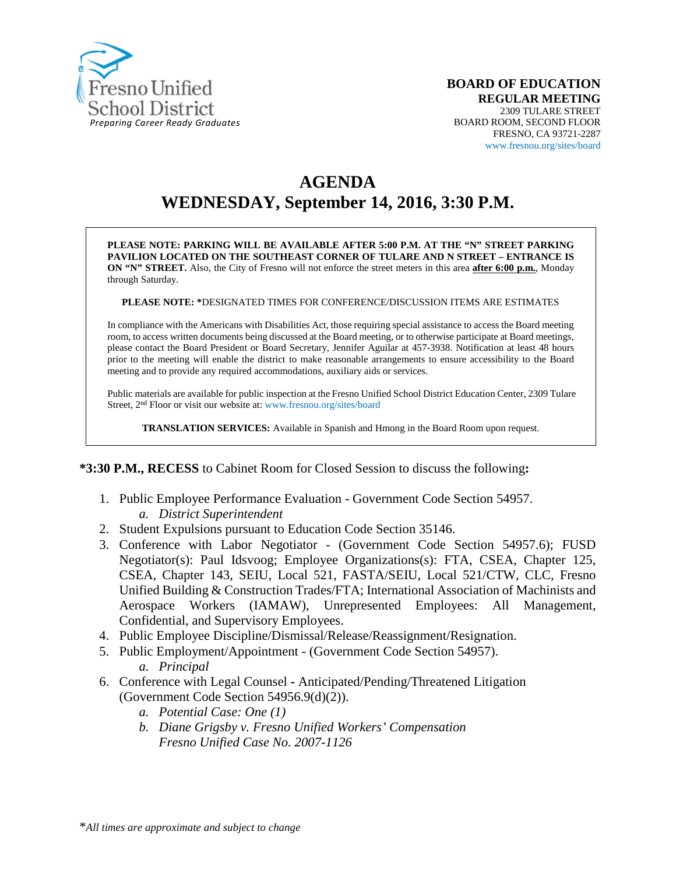

# **AGENDA WEDNESDAY, September 14, 2016, 3:30 P.M.**

**PLEASE NOTE: PARKING WILL BE AVAILABLE AFTER 5:00 P.M. AT THE "N" STREET PARKING PAVILION LOCATED ON THE SOUTHEAST CORNER OF TULARE AND N STREET – ENTRANCE IS ON "N" STREET.** Also, the City of Fresno will not enforce the street meters in this area **after 6:00 p.m.**, Monday through Saturday.

**PLEASE NOTE: \***DESIGNATED TIMES FOR CONFERENCE/DISCUSSION ITEMS ARE ESTIMATES

In compliance with the Americans with Disabilities Act, those requiring special assistance to access the Board meeting room, to access written documents being discussed at the Board meeting, or to otherwise participate at Board meetings, please contact the Board President or Board Secretary, Jennifer Aguilar at 457-3938. Notification at least 48 hours prior to the meeting will enable the district to make reasonable arrangements to ensure accessibility to the Board meeting and to provide any required accommodations, auxiliary aids or services.

Public materials are available for public inspection at the Fresno Unified School District Education Center, 2309 Tulare Street, 2nd Floor or visit our website at: www.fresnou.org/sites/board

**TRANSLATION SERVICES:** Available in Spanish and Hmong in the Board Room upon request.

#### **\*3:30 P.M., RECESS** to Cabinet Room for Closed Session to discuss the following**:**

- 1. Public Employee Performance Evaluation Government Code Section 54957. *a. District Superintendent*
- 2. Student Expulsions pursuant to Education Code Section 35146.
- 3. Conference with Labor Negotiator (Government Code Section 54957.6); FUSD Negotiator(s): Paul Idsvoog; Employee Organizations(s): FTA, CSEA, Chapter 125, CSEA, Chapter 143, SEIU, Local 521, FASTA/SEIU, Local 521/CTW, CLC, Fresno Unified Building & Construction Trades/FTA; International Association of Machinists and Aerospace Workers (IAMAW), Unrepresented Employees: All Management, Confidential, and Supervisory Employees.
- 4. Public Employee Discipline/Dismissal/Release/Reassignment/Resignation.
- 5. Public Employment/Appointment (Government Code Section 54957). *a. Principal*
- 6. Conference with Legal Counsel **-** Anticipated/Pending/Threatened Litigation (Government Code Section 54956.9(d)(2)).
	- *a. Potential Case: One (1)*
	- *b. Diane Grigsby v. Fresno Unified Workers' Compensation Fresno Unified Case No. 2007-1126*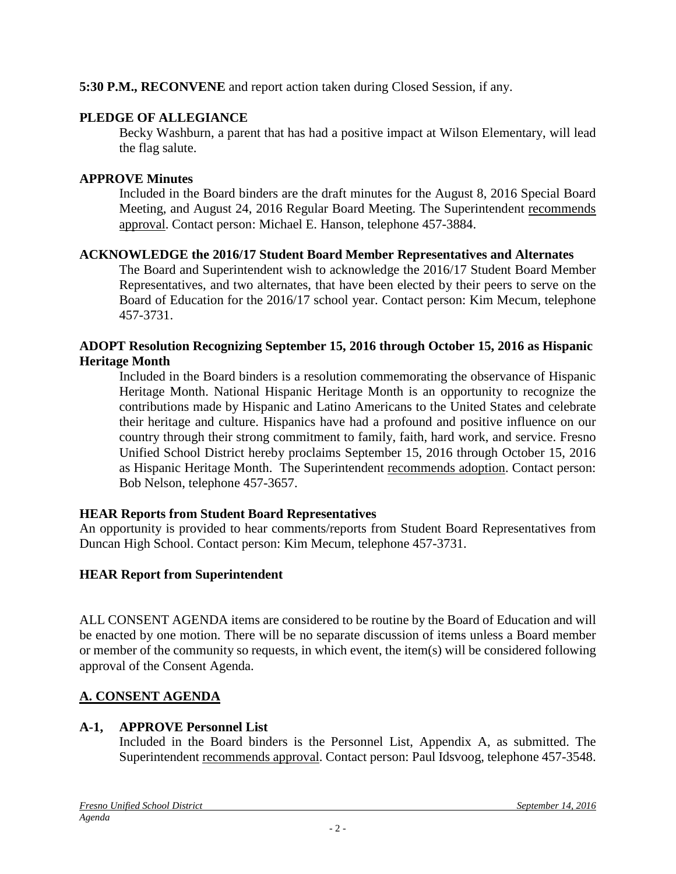#### **5:30 P.M., RECONVENE** and report action taken during Closed Session, if any.

## **PLEDGE OF ALLEGIANCE**

Becky Washburn, a parent that has had a positive impact at Wilson Elementary, will lead the flag salute.

## **APPROVE Minutes**

Included in the Board binders are the draft minutes for the August 8, 2016 Special Board Meeting, and August 24, 2016 Regular Board Meeting. The Superintendent recommends approval. Contact person: Michael E. Hanson, telephone 457-3884.

#### **ACKNOWLEDGE the 2016/17 Student Board Member Representatives and Alternates**

The Board and Superintendent wish to acknowledge the 2016/17 Student Board Member Representatives, and two alternates, that have been elected by their peers to serve on the Board of Education for the 2016/17 school year. Contact person: Kim Mecum, telephone 457-3731.

#### **ADOPT Resolution Recognizing September 15, 2016 through October 15, 2016 as Hispanic Heritage Month**

Included in the Board binders is a resolution commemorating the observance of Hispanic Heritage Month. National Hispanic Heritage Month is an opportunity to recognize the contributions made by Hispanic and Latino Americans to the United States and celebrate their heritage and culture. Hispanics have had a profound and positive influence on our country through their strong commitment to family, faith, hard work, and service. Fresno Unified School District hereby proclaims September 15, 2016 through October 15, 2016 as Hispanic Heritage Month. The Superintendent recommends adoption. Contact person: Bob Nelson, telephone 457-3657.

## **HEAR Reports from Student Board Representatives**

An opportunity is provided to hear comments/reports from Student Board Representatives from Duncan High School. Contact person: Kim Mecum, telephone 457-3731.

## **HEAR Report from Superintendent**

ALL CONSENT AGENDA items are considered to be routine by the Board of Education and will be enacted by one motion. There will be no separate discussion of items unless a Board member or member of the community so requests, in which event, the item(s) will be considered following approval of the Consent Agenda.

## **A. CONSENT AGENDA**

## **A-1, APPROVE Personnel List**

Included in the Board binders is the Personnel List, Appendix A, as submitted. The Superintendent recommends approval. Contact person: Paul Idsvoog, telephone 457-3548.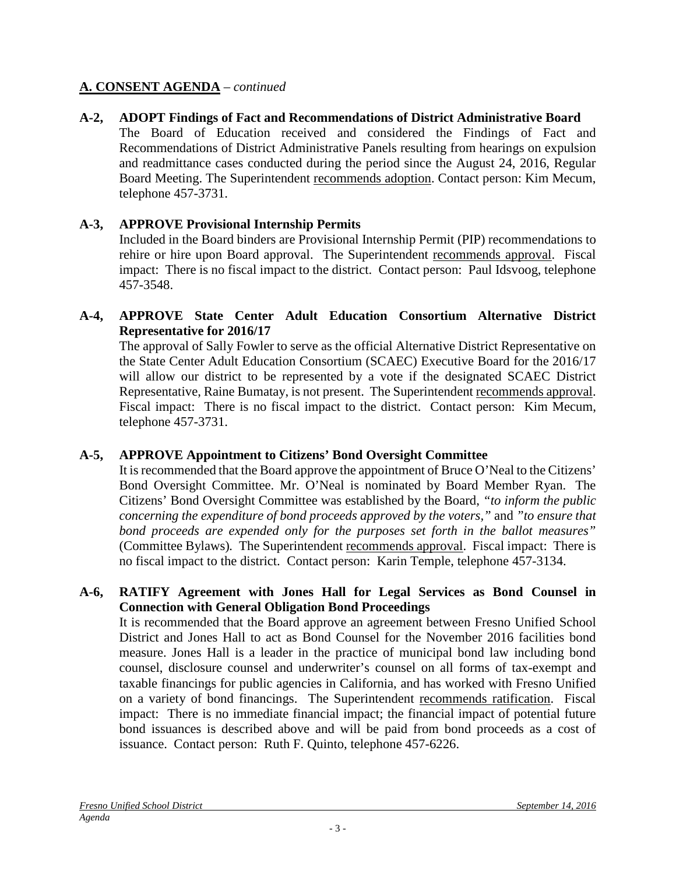### **A. CONSENT AGENDA** – *continued*

**A-2, ADOPT Findings of Fact and Recommendations of District Administrative Board** The Board of Education received and considered the Findings of Fact and Recommendations of District Administrative Panels resulting from hearings on expulsion and readmittance cases conducted during the period since the August 24, 2016, Regular Board Meeting. The Superintendent recommends adoption. Contact person: Kim Mecum, telephone 457-3731.

## **A-3, APPROVE Provisional Internship Permits**

Included in the Board binders are Provisional Internship Permit (PIP) recommendations to rehire or hire upon Board approval. The Superintendent recommends approval. Fiscal impact: There is no fiscal impact to the district. Contact person: Paul Idsvoog, telephone 457-3548.

### **A-4, APPROVE State Center Adult Education Consortium Alternative District Representative for 2016/17**

The approval of Sally Fowler to serve as the official Alternative District Representative on the State Center Adult Education Consortium (SCAEC) Executive Board for the 2016/17 will allow our district to be represented by a vote if the designated SCAEC District Representative, Raine Bumatay, is not present. The Superintendent recommends approval. Fiscal impact: There is no fiscal impact to the district. Contact person: Kim Mecum, telephone 457-3731.

## **A-5, APPROVE Appointment to Citizens' Bond Oversight Committee**

It is recommended that the Board approve the appointment of Bruce O'Neal to the Citizens' Bond Oversight Committee. Mr. O'Neal is nominated by Board Member Ryan. The Citizens' Bond Oversight Committee was established by the Board, *"to inform the public concerning the expenditure of bond proceeds approved by the voters,"* and *"to ensure that bond proceeds are expended only for the purposes set forth in the ballot measures"*  (Committee Bylaws)*.* The Superintendent recommends approval. Fiscal impact: There is no fiscal impact to the district. Contact person: Karin Temple, telephone 457-3134.

#### **A-6, RATIFY Agreement with Jones Hall for Legal Services as Bond Counsel in Connection with General Obligation Bond Proceedings**

It is recommended that the Board approve an agreement between Fresno Unified School District and Jones Hall to act as Bond Counsel for the November 2016 facilities bond measure. Jones Hall is a leader in the practice of municipal bond law including bond counsel, disclosure counsel and underwriter's counsel on all forms of tax-exempt and taxable financings for public agencies in California, and has worked with Fresno Unified on a variety of bond financings. The Superintendent recommends ratification. Fiscal impact: There is no immediate financial impact; the financial impact of potential future bond issuances is described above and will be paid from bond proceeds as a cost of issuance. Contact person: Ruth F. Quinto, telephone 457-6226.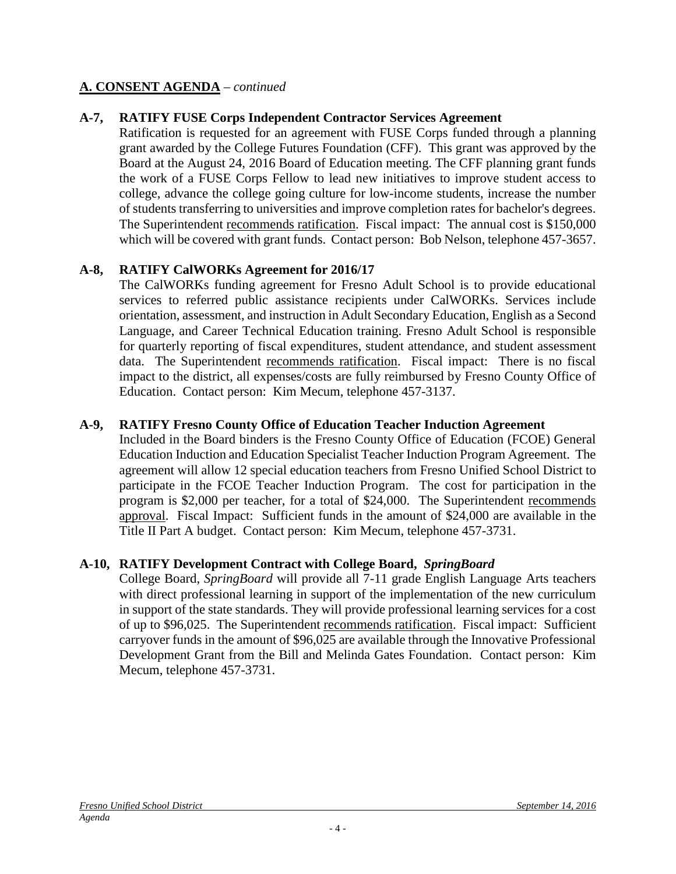#### **A. CONSENT AGENDA** – *continued*

#### **A-7, RATIFY FUSE Corps Independent Contractor Services Agreement**

Ratification is requested for an agreement with FUSE Corps funded through a planning grant awarded by the College Futures Foundation (CFF). This grant was approved by the Board at the August 24, 2016 Board of Education meeting. The CFF planning grant funds the work of a FUSE Corps Fellow to lead new initiatives to improve student access to college, advance the college going culture for low-income students, increase the number of students transferring to universities and improve completion rates for bachelor's degrees. The Superintendent recommends ratification. Fiscal impact: The annual cost is \$150,000 which will be covered with grant funds. Contact person: Bob Nelson, telephone 457-3657.

#### **A-8, RATIFY CalWORKs Agreement for 2016/17**

The CalWORKs funding agreement for Fresno Adult School is to provide educational services to referred public assistance recipients under CalWORKs. Services include orientation, assessment, and instruction in Adult Secondary Education, English as a Second Language, and Career Technical Education training. Fresno Adult School is responsible for quarterly reporting of fiscal expenditures, student attendance, and student assessment data. The Superintendent recommends ratification. Fiscal impact: There is no fiscal impact to the district, all expenses/costs are fully reimbursed by Fresno County Office of Education. Contact person: Kim Mecum, telephone 457-3137.

#### **A-9, RATIFY Fresno County Office of Education Teacher Induction Agreement**

Included in the Board binders is the Fresno County Office of Education (FCOE) General Education Induction and Education Specialist Teacher Induction Program Agreement. The agreement will allow 12 special education teachers from Fresno Unified School District to participate in the FCOE Teacher Induction Program. The cost for participation in the program is \$2,000 per teacher, for a total of \$24,000. The Superintendent recommends approval. Fiscal Impact: Sufficient funds in the amount of \$24,000 are available in the Title II Part A budget. Contact person: Kim Mecum, telephone 457-3731.

#### **A-10, RATIFY Development Contract with College Board,** *SpringBoard*

College Board, *SpringBoard* will provide all 7-11 grade English Language Arts teachers with direct professional learning in support of the implementation of the new curriculum in support of the state standards. They will provide professional learning services for a cost of up to \$96,025. The Superintendent recommends ratification. Fiscal impact: Sufficient carryover funds in the amount of \$96,025 are available through the Innovative Professional Development Grant from the Bill and Melinda Gates Foundation. Contact person: Kim Mecum, telephone 457-3731.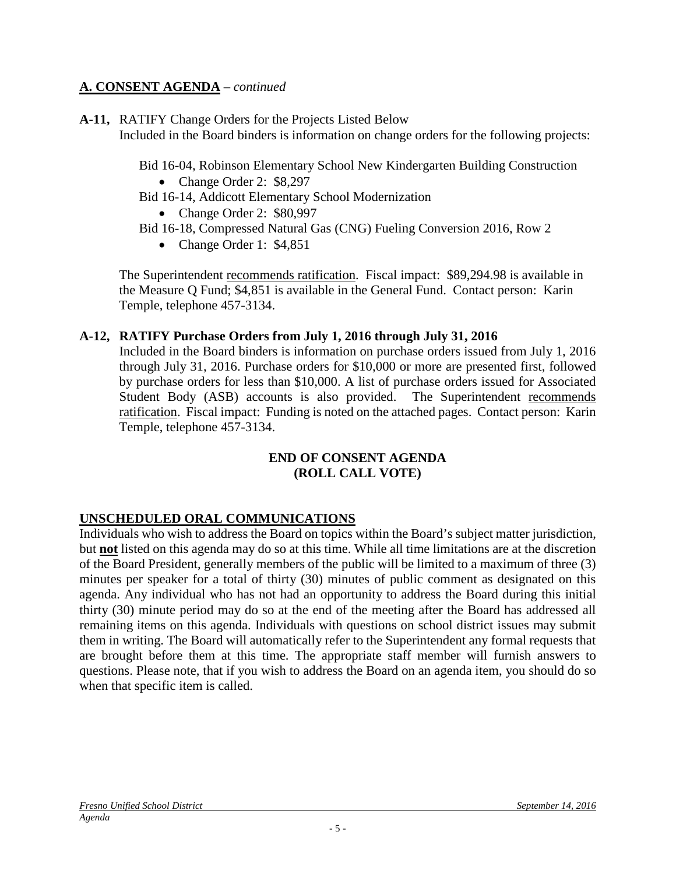#### **A. CONSENT AGENDA** – *continued*

**A-11,** RATIFY Change Orders for the Projects Listed Below Included in the Board binders is information on change orders for the following projects:

Bid 16-04, Robinson Elementary School New Kindergarten Building Construction

- Change Order 2: \$8,297
- Bid 16-14, Addicott Elementary School Modernization

• Change Order 2: \$80,997

- Bid 16-18, Compressed Natural Gas (CNG) Fueling Conversion 2016, Row 2
	- Change Order 1: \$4,851

The Superintendent recommends ratification. Fiscal impact: \$89,294.98 is available in the Measure Q Fund; \$4,851 is available in the General Fund. Contact person: Karin Temple, telephone 457-3134.

#### **A-12, RATIFY Purchase Orders from July 1, 2016 through July 31, 2016**

Included in the Board binders is information on purchase orders issued from July 1, 2016 through July 31, 2016. Purchase orders for \$10,000 or more are presented first, followed by purchase orders for less than \$10,000. A list of purchase orders issued for Associated Student Body (ASB) accounts is also provided. The Superintendent recommends ratification. Fiscal impact: Funding is noted on the attached pages. Contact person: Karin Temple, telephone 457-3134.

#### **END OF CONSENT AGENDA (ROLL CALL VOTE)**

#### **UNSCHEDULED ORAL COMMUNICATIONS**

Individuals who wish to address the Board on topics within the Board's subject matter jurisdiction, but **not** listed on this agenda may do so at this time. While all time limitations are at the discretion of the Board President, generally members of the public will be limited to a maximum of three (3) minutes per speaker for a total of thirty (30) minutes of public comment as designated on this agenda. Any individual who has not had an opportunity to address the Board during this initial thirty (30) minute period may do so at the end of the meeting after the Board has addressed all remaining items on this agenda. Individuals with questions on school district issues may submit them in writing. The Board will automatically refer to the Superintendent any formal requests that are brought before them at this time. The appropriate staff member will furnish answers to questions. Please note, that if you wish to address the Board on an agenda item, you should do so when that specific item is called.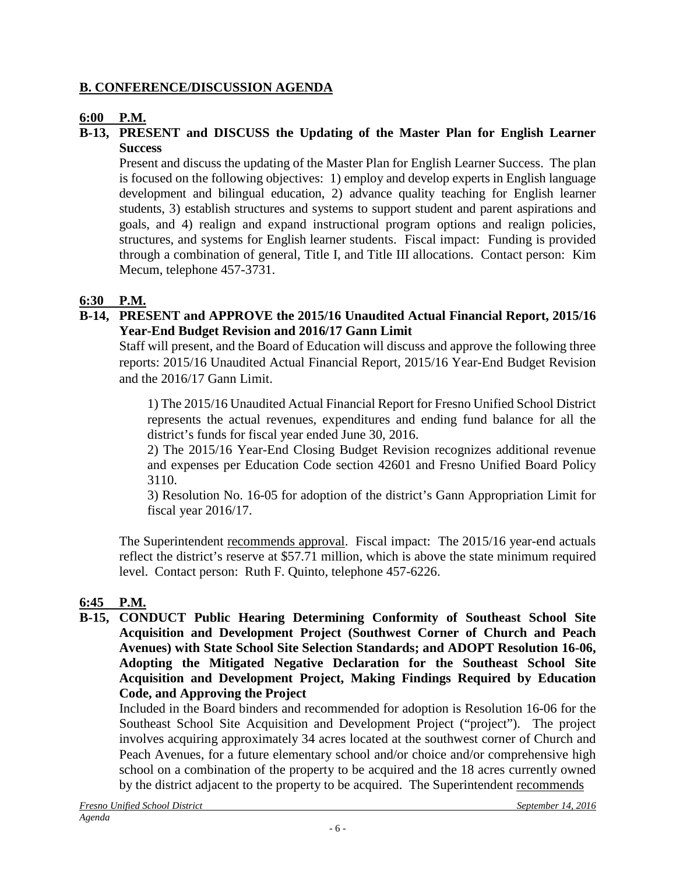#### **B. CONFERENCE/DISCUSSION AGENDA**

#### **6:00 P.M.**

#### **B-13, PRESENT and DISCUSS the Updating of the Master Plan for English Learner Success**

Present and discuss the updating of the Master Plan for English Learner Success. The plan is focused on the following objectives: 1) employ and develop experts in English language development and bilingual education, 2) advance quality teaching for English learner students, 3) establish structures and systems to support student and parent aspirations and goals, and 4) realign and expand instructional program options and realign policies, structures, and systems for English learner students. Fiscal impact: Funding is provided through a combination of general, Title I, and Title III allocations. Contact person: Kim Mecum, telephone 457-3731.

## **6:30 P.M.**

#### **B-14, PRESENT and APPROVE the 2015/16 Unaudited Actual Financial Report, 2015/16 Year-End Budget Revision and 2016/17 Gann Limit**

Staff will present, and the Board of Education will discuss and approve the following three reports: 2015/16 Unaudited Actual Financial Report, 2015/16 Year-End Budget Revision and the 2016/17 Gann Limit.

1) The 2015/16 Unaudited Actual Financial Report for Fresno Unified School District represents the actual revenues, expenditures and ending fund balance for all the district's funds for fiscal year ended June 30, 2016.

2) The 2015/16 Year-End Closing Budget Revision recognizes additional revenue and expenses per Education Code section 42601 and Fresno Unified Board Policy 3110.

3) Resolution No. 16-05 for adoption of the district's Gann Appropriation Limit for fiscal year 2016/17.

The Superintendent recommends approval. Fiscal impact: The 2015/16 year-end actuals reflect the district's reserve at \$57.71 million, which is above the state minimum required level. Contact person: Ruth F. Quinto, telephone 457-6226.

## **6:45 P.M.**

**B-15, CONDUCT Public Hearing Determining Conformity of Southeast School Site Acquisition and Development Project (Southwest Corner of Church and Peach Avenues) with State School Site Selection Standards; and ADOPT Resolution 16-06, Adopting the Mitigated Negative Declaration for the Southeast School Site Acquisition and Development Project, Making Findings Required by Education Code, and Approving the Project**

Included in the Board binders and recommended for adoption is Resolution 16-06 for the Southeast School Site Acquisition and Development Project ("project"). The project involves acquiring approximately 34 acres located at the southwest corner of Church and Peach Avenues, for a future elementary school and/or choice and/or comprehensive high school on a combination of the property to be acquired and the 18 acres currently owned by the district adjacent to the property to be acquired. The Superintendent recommends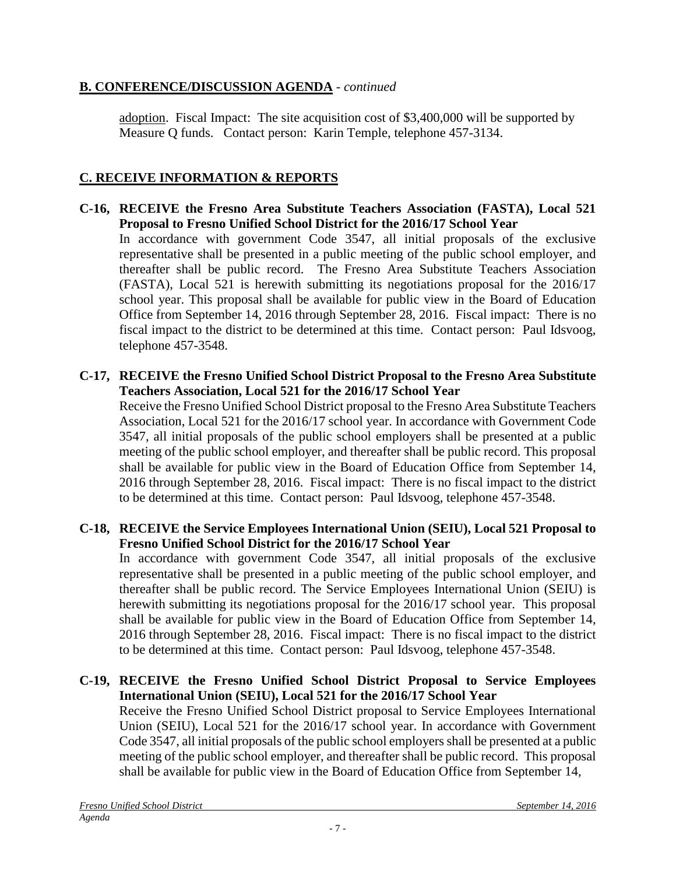### **B. CONFERENCE/DISCUSSION AGENDA** - *continued*

adoption. Fiscal Impact: The site acquisition cost of \$3,400,000 will be supported by Measure Q funds. Contact person: Karin Temple, telephone 457-3134.

## **C. RECEIVE INFORMATION & REPORTS**

- **C-16, RECEIVE the Fresno Area Substitute Teachers Association (FASTA), Local 521 Proposal to Fresno Unified School District for the 2016/17 School Year** In accordance with government Code 3547, all initial proposals of the exclusive representative shall be presented in a public meeting of the public school employer, and thereafter shall be public record. The Fresno Area Substitute Teachers Association (FASTA), Local 521 is herewith submitting its negotiations proposal for the 2016/17 school year. This proposal shall be available for public view in the Board of Education Office from September 14, 2016 through September 28, 2016. Fiscal impact: There is no fiscal impact to the district to be determined at this time. Contact person: Paul Idsvoog, telephone 457-3548.
- **C-17, RECEIVE the Fresno Unified School District Proposal to the Fresno Area Substitute Teachers Association, Local 521 for the 2016/17 School Year**

Receive the Fresno Unified School District proposal to the Fresno Area Substitute Teachers Association, Local 521 for the 2016/17 school year. In accordance with Government Code 3547, all initial proposals of the public school employers shall be presented at a public meeting of the public school employer, and thereafter shall be public record. This proposal shall be available for public view in the Board of Education Office from September 14, 2016 through September 28, 2016. Fiscal impact: There is no fiscal impact to the district to be determined at this time. Contact person: Paul Idsvoog, telephone 457-3548.

#### **C-18, RECEIVE the Service Employees International Union (SEIU), Local 521 Proposal to Fresno Unified School District for the 2016/17 School Year**

In accordance with government Code 3547, all initial proposals of the exclusive representative shall be presented in a public meeting of the public school employer, and thereafter shall be public record. The Service Employees International Union (SEIU) is herewith submitting its negotiations proposal for the 2016/17 school year. This proposal shall be available for public view in the Board of Education Office from September 14, 2016 through September 28, 2016. Fiscal impact: There is no fiscal impact to the district to be determined at this time. Contact person: Paul Idsvoog, telephone 457-3548.

#### **C-19, RECEIVE the Fresno Unified School District Proposal to Service Employees International Union (SEIU), Local 521 for the 2016/17 School Year**

Receive the Fresno Unified School District proposal to Service Employees International Union (SEIU), Local 521 for the 2016/17 school year. In accordance with Government Code 3547, all initial proposals of the public school employers shall be presented at a public meeting of the public school employer, and thereafter shall be public record. This proposal shall be available for public view in the Board of Education Office from September 14,